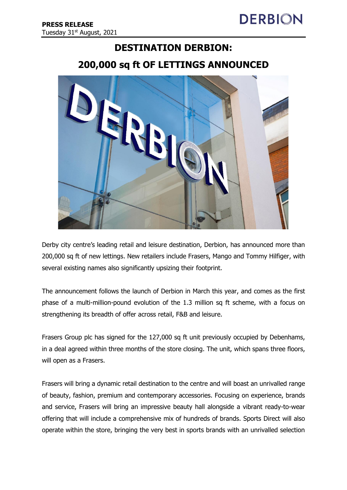## **DESTINATION DERBION:**

# **200,000 sq ft OF LETTINGS ANNOUNCED**



Derby city centre's leading retail and leisure destination, Derbion, has announced more than 200,000 sq ft of new lettings. New retailers include Frasers, Mango and Tommy Hilfiger, with several existing names also significantly upsizing their footprint.

The announcement follows the launch of Derbion in March this year, and comes as the first phase of a multi-million-pound evolution of the 1.3 million sq ft scheme, with a focus on strengthening its breadth of offer across retail, F&B and leisure.

Frasers Group plc has signed for the 127,000 sq ft unit previously occupied by Debenhams, in a deal agreed within three months of the store closing. The unit, which spans three floors, will open as a Frasers.

Frasers will bring a dynamic retail destination to the centre and will boast an unrivalled range of beauty, fashion, premium and contemporary accessories. Focusing on experience, brands and service, Frasers will bring an impressive beauty hall alongside a vibrant ready-to-wear offering that will include a comprehensive mix of hundreds of brands. Sports Direct will also operate within the store, bringing the very best in sports brands with an unrivalled selection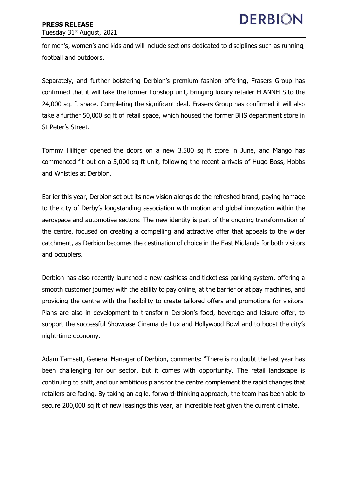for men's, women's and kids and will include sections dedicated to disciplines such as running, football and outdoors.

Separately, and further bolstering Derbion's premium fashion offering, Frasers Group has confirmed that it will take the former Topshop unit, bringing luxury retailer FLANNELS to the 24,000 sq. ft space. Completing the significant deal, Frasers Group has confirmed it will also take a further 50,000 sq ft of retail space, which housed the former BHS department store in St Peter's Street.

Tommy Hilfiger opened the doors on a new 3,500 sq ft store in June, and Mango has commenced fit out on a 5,000 sq ft unit, following the recent arrivals of Hugo Boss, Hobbs and Whistles at Derbion.

Earlier this year, Derbion set out its new vision alongside the refreshed brand, paying homage to the city of Derby's longstanding association with motion and global innovation within the aerospace and automotive sectors. The new identity is part of the ongoing transformation of the centre, focused on creating a compelling and attractive offer that appeals to the wider catchment, as Derbion becomes the destination of choice in the East Midlands for both visitors and occupiers.

Derbion has also recently launched a new cashless and ticketless parking system, offering a smooth customer journey with the ability to pay online, at the barrier or at pay machines, and providing the centre with the flexibility to create tailored offers and promotions for visitors. Plans are also in development to transform Derbion's food, beverage and leisure offer, to support the successful Showcase Cinema de Lux and Hollywood Bowl and to boost the city's night-time economy.

Adam Tamsett, General Manager of Derbion, comments: "There is no doubt the last year has been challenging for our sector, but it comes with opportunity. The retail landscape is continuing to shift, and our ambitious plans for the centre complement the rapid changes that retailers are facing. By taking an agile, forward-thinking approach, the team has been able to secure 200,000 sq ft of new leasings this year, an incredible feat given the current climate.